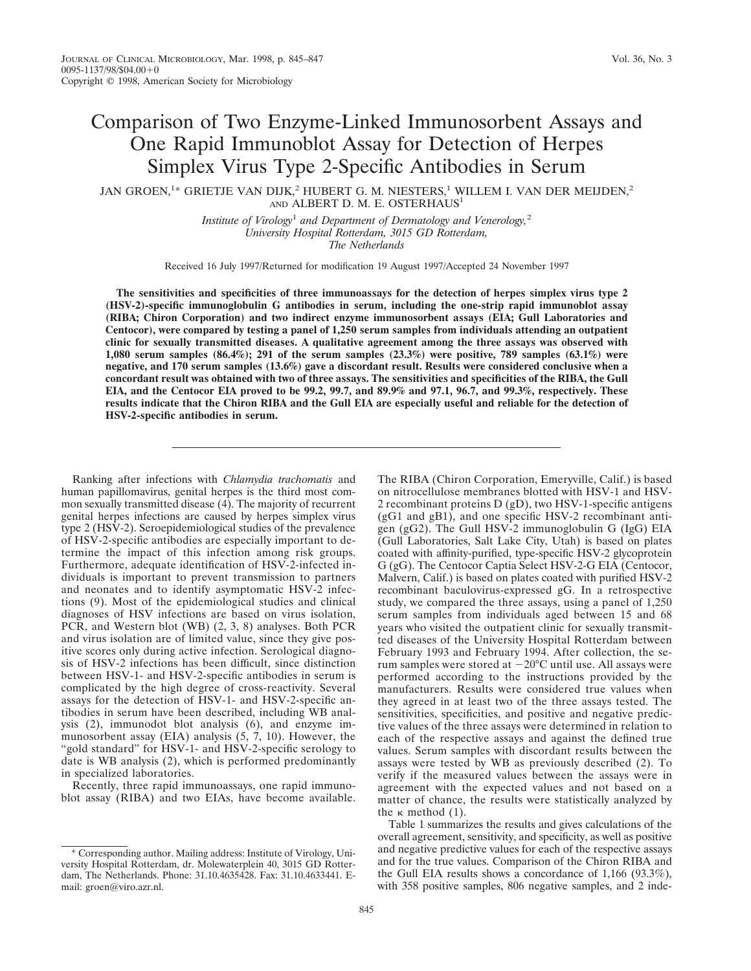## Comparison of Two Enzyme-Linked Immunosorbent Assays and One Rapid Immunoblot Assay for Detection of Herpes Simplex Virus Type 2-Specific Antibodies in Serum

JAN GROEN, $^{1\ast}$  GRIETJE VAN DIJK, $^{2}$  HUBERT G. M. NIESTERS, $^{1}$  WILLEM I. VAN DER MEIJDEN, $^{2}$ AND ALBERT D. M. E. OSTERHAUS<sup>1</sup>

> *Institute of Virology*<sup>1</sup> *and Department of Dermatology and Venerology,*<sup>2</sup> *University Hospital Rotterdam, 3015 GD Rotterdam, The Netherlands*

Received 16 July 1997/Returned for modification 19 August 1997/Accepted 24 November 1997

**The sensitivities and specificities of three immunoassays for the detection of herpes simplex virus type 2 (HSV-2)-specific immunoglobulin G antibodies in serum, including the one-strip rapid immunoblot assay (RIBA; Chiron Corporation) and two indirect enzyme immunosorbent assays (EIA; Gull Laboratories and Centocor), were compared by testing a panel of 1,250 serum samples from individuals attending an outpatient clinic for sexually transmitted diseases. A qualitative agreement among the three assays was observed with 1,080 serum samples (86.4%); 291 of the serum samples (23.3%) were positive, 789 samples (63.1%) were negative, and 170 serum samples (13.6%) gave a discordant result. Results were considered conclusive when a concordant result was obtained with two of three assays. The sensitivities and specificities of the RIBA, the Gull EIA, and the Centocor EIA proved to be 99.2, 99.7, and 89.9% and 97.1, 96.7, and 99.3%, respectively. These results indicate that the Chiron RIBA and the Gull EIA are especially useful and reliable for the detection of HSV-2-specific antibodies in serum.**

Ranking after infections with *Chlamydia trachomatis* and human papillomavirus, genital herpes is the third most common sexually transmitted disease (4). The majority of recurrent genital herpes infections are caused by herpes simplex virus type 2 (HSV-2). Seroepidemiological studies of the prevalence of HSV-2-specific antibodies are especially important to determine the impact of this infection among risk groups. Furthermore, adequate identification of HSV-2-infected individuals is important to prevent transmission to partners and neonates and to identify asymptomatic HSV-2 infections (9). Most of the epidemiological studies and clinical diagnoses of HSV infections are based on virus isolation, PCR, and Western blot (WB) (2, 3, 8) analyses. Both PCR and virus isolation are of limited value, since they give positive scores only during active infection. Serological diagnosis of HSV-2 infections has been difficult, since distinction between HSV-1- and HSV-2-specific antibodies in serum is complicated by the high degree of cross-reactivity. Several assays for the detection of HSV-1- and HSV-2-specific antibodies in serum have been described, including WB analysis (2), immunodot blot analysis (6), and enzyme immunosorbent assay (EIA) analysis (5, 7, 10). However, the "gold standard" for HSV-1- and HSV-2-specific serology to date is WB analysis (2), which is performed predominantly in specialized laboratories.

Recently, three rapid immunoassays, one rapid immunoblot assay (RIBA) and two EIAs, have become available.

\* Corresponding author. Mailing address: Institute of Virology, University Hospital Rotterdam, dr. Molewaterplein 40, 3015 GD Rotterdam, The Netherlands. Phone: 31.10.4635428. Fax: 31.10.4633441. Email: groen@viro.azr.nl.

The RIBA (Chiron Corporation, Emeryville, Calif.) is based on nitrocellulose membranes blotted with HSV-1 and HSV-2 recombinant proteins D (gD), two HSV-1-specific antigens (gG1 and gB1), and one specific HSV-2 recombinant antigen (gG2). The Gull HSV-2 immunoglobulin G (IgG) EIA (Gull Laboratories, Salt Lake City, Utah) is based on plates coated with affinity-purified, type-specific HSV-2 glycoprotein G (gG). The Centocor Captia Select HSV-2-G EIA (Centocor, Malvern, Calif.) is based on plates coated with purified HSV-2 recombinant baculovirus-expressed gG. In a retrospective study, we compared the three assays, using a panel of 1,250 serum samples from individuals aged between 15 and 68 years who visited the outpatient clinic for sexually transmitted diseases of the University Hospital Rotterdam between February 1993 and February 1994. After collection, the serum samples were stored at  $-20^{\circ}$ C until use. All assays were performed according to the instructions provided by the manufacturers. Results were considered true values when they agreed in at least two of the three assays tested. The sensitivities, specificities, and positive and negative predictive values of the three assays were determined in relation to each of the respective assays and against the defined true values. Serum samples with discordant results between the assays were tested by WB as previously described (2). To verify if the measured values between the assays were in agreement with the expected values and not based on a matter of chance, the results were statistically analyzed by the  $\kappa$  method (1).

Table 1 summarizes the results and gives calculations of the overall agreement, sensitivity, and specificity, as well as positive and negative predictive values for each of the respective assays and for the true values. Comparison of the Chiron RIBA and the Gull EIA results shows a concordance of 1,166 (93.3%), with 358 positive samples, 806 negative samples, and 2 inde-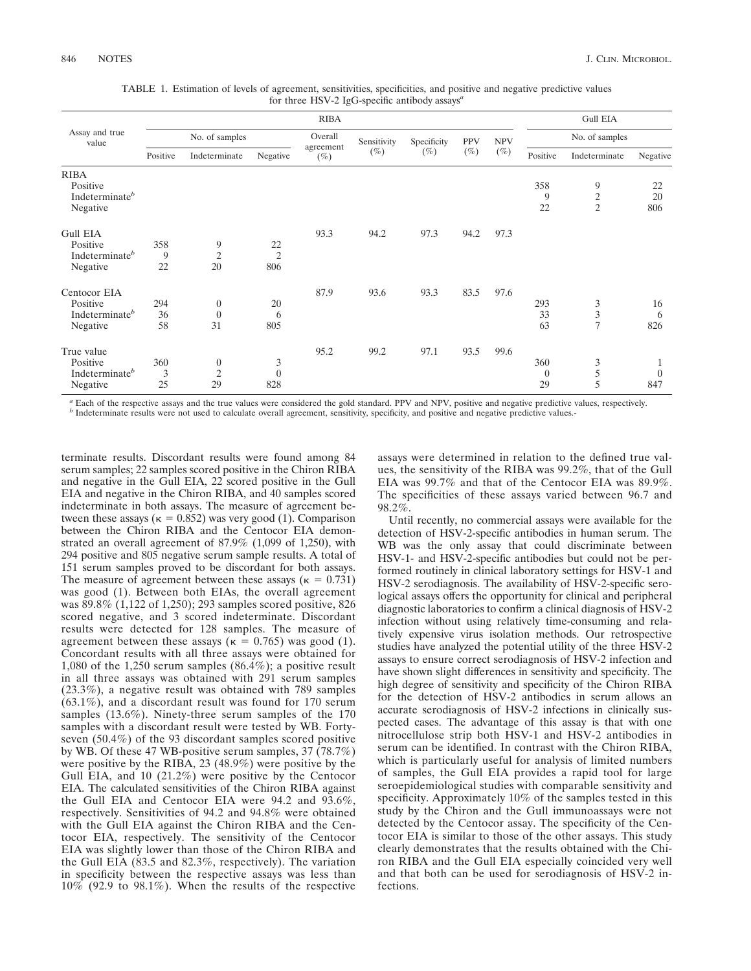| Assay and true<br>value                                               | <b>RIBA</b>     |                                          |                              |                                |                       |                       |                      |                      |                             | <b>Gull EIA</b>                       |                      |  |  |
|-----------------------------------------------------------------------|-----------------|------------------------------------------|------------------------------|--------------------------------|-----------------------|-----------------------|----------------------|----------------------|-----------------------------|---------------------------------------|----------------------|--|--|
|                                                                       |                 | No. of samples                           |                              | Overall<br>agreement<br>$(\%)$ | Sensitivity<br>$(\%)$ | Specificity<br>$(\%)$ | <b>PPV</b><br>$(\%)$ | <b>NPV</b><br>$(\%)$ | No. of samples              |                                       |                      |  |  |
|                                                                       | Positive        | Indeterminate                            | Negative                     |                                |                       |                       |                      |                      | Positive                    | Indeterminate                         | Negative             |  |  |
| <b>RIBA</b><br>Positive<br>Indeterminate <sup>b</sup><br>Negative     |                 |                                          |                              |                                |                       |                       |                      |                      | 358<br>9<br>22              | 9<br>$\overline{c}$<br>$\overline{c}$ | 22<br>20<br>806      |  |  |
| <b>Gull EIA</b><br>Positive<br>Indeterminate <sup>b</sup><br>Negative | 358<br>9<br>22  | 9<br>$\mathfrak{2}$<br>20                | 22<br>$\overline{2}$<br>806  | 93.3                           | 94.2                  | 97.3                  | 94.2                 | 97.3                 |                             |                                       |                      |  |  |
| Centocor EIA<br>Positive<br>Indeterminate <sup>b</sup><br>Negative    | 294<br>36<br>58 | $\boldsymbol{0}$<br>$\overline{0}$<br>31 | 20<br>6<br>805               | 87.9                           | 93.6                  | 93.3                  | 83.5                 | 97.6                 | 293<br>33<br>63             | 3<br>$\frac{3}{7}$                    | 16<br>6<br>826       |  |  |
| True value<br>Positive<br>Indeterminate <sup>b</sup><br>Negative      | 360<br>3<br>25  | $\boldsymbol{0}$<br>$\overline{2}$<br>29 | 3<br>$\boldsymbol{0}$<br>828 | 95.2                           | 99.2                  | 97.1                  | 93.5                 | 99.6                 | 360<br>$\overline{0}$<br>29 | 3<br>5<br>5                           | 1<br>$\theta$<br>847 |  |  |

TABLE 1. Estimation of levels of agreement, sensitivities, specificities, and positive and negative predictive values for three HSV-2 IgG-specific antibody assays*<sup>a</sup>*

 $\alpha$  Each of the respective assays and the true values were considered the gold standard. PPV and NPV, positive and negative predictive values, respectively.<br>  $\beta$  Indeterminate results were not used to calculate overall

terminate results. Discordant results were found among 84 serum samples; 22 samples scored positive in the Chiron RIBA and negative in the Gull EIA, 22 scored positive in the Gull EIA and negative in the Chiron RIBA, and 40 samples scored indeterminate in both assays. The measure of agreement between these assays ( $\kappa = 0.852$ ) was very good (1). Comparison between the Chiron RIBA and the Centocor EIA demonstrated an overall agreement of 87.9% (1,099 of 1,250), with 294 positive and 805 negative serum sample results. A total of 151 serum samples proved to be discordant for both assays. The measure of agreement between these assays ( $\kappa = 0.731$ ) was good (1). Between both EIAs, the overall agreement was 89.8% (1,122 of 1,250); 293 samples scored positive, 826 scored negative, and 3 scored indeterminate. Discordant results were detected for 128 samples. The measure of agreement between these assays ( $\kappa = 0.765$ ) was good (1). Concordant results with all three assays were obtained for 1,080 of the 1,250 serum samples (86.4%); a positive result in all three assays was obtained with 291 serum samples (23.3%), a negative result was obtained with 789 samples (63.1%), and a discordant result was found for 170 serum samples (13.6%). Ninety-three serum samples of the 170 samples with a discordant result were tested by WB. Fortyseven (50.4%) of the 93 discordant samples scored positive by WB. Of these 47 WB-positive serum samples, 37 (78.7%) were positive by the RIBA, 23 (48.9%) were positive by the Gull EIA, and 10 (21.2%) were positive by the Centocor EIA. The calculated sensitivities of the Chiron RIBA against the Gull EIA and Centocor EIA were 94.2 and 93.6%, respectively. Sensitivities of 94.2 and 94.8% were obtained with the Gull EIA against the Chiron RIBA and the Centocor EIA, respectively. The sensitivity of the Centocor EIA was slightly lower than those of the Chiron RIBA and the Gull EIA (83.5 and 82.3%, respectively). The variation in specificity between the respective assays was less than 10% (92.9 to 98.1%). When the results of the respective

assays were determined in relation to the defined true values, the sensitivity of the RIBA was 99.2%, that of the Gull EIA was 99.7% and that of the Centocor EIA was 89.9%. The specificities of these assays varied between 96.7 and 98.2%.

Until recently, no commercial assays were available for the detection of HSV-2-specific antibodies in human serum. The WB was the only assay that could discriminate between HSV-1- and HSV-2-specific antibodies but could not be performed routinely in clinical laboratory settings for HSV-1 and HSV-2 serodiagnosis. The availability of HSV-2-specific serological assays offers the opportunity for clinical and peripheral diagnostic laboratories to confirm a clinical diagnosis of HSV-2 infection without using relatively time-consuming and relatively expensive virus isolation methods. Our retrospective studies have analyzed the potential utility of the three HSV-2 assays to ensure correct serodiagnosis of HSV-2 infection and have shown slight differences in sensitivity and specificity. The high degree of sensitivity and specificity of the Chiron RIBA for the detection of HSV-2 antibodies in serum allows an accurate serodiagnosis of HSV-2 infections in clinically suspected cases. The advantage of this assay is that with one nitrocellulose strip both HSV-1 and HSV-2 antibodies in serum can be identified. In contrast with the Chiron RIBA, which is particularly useful for analysis of limited numbers of samples, the Gull EIA provides a rapid tool for large seroepidemiological studies with comparable sensitivity and specificity. Approximately 10% of the samples tested in this study by the Chiron and the Gull immunoassays were not detected by the Centocor assay. The specificity of the Centocor EIA is similar to those of the other assays. This study clearly demonstrates that the results obtained with the Chiron RIBA and the Gull EIA especially coincided very well and that both can be used for serodiagnosis of HSV-2 infections.